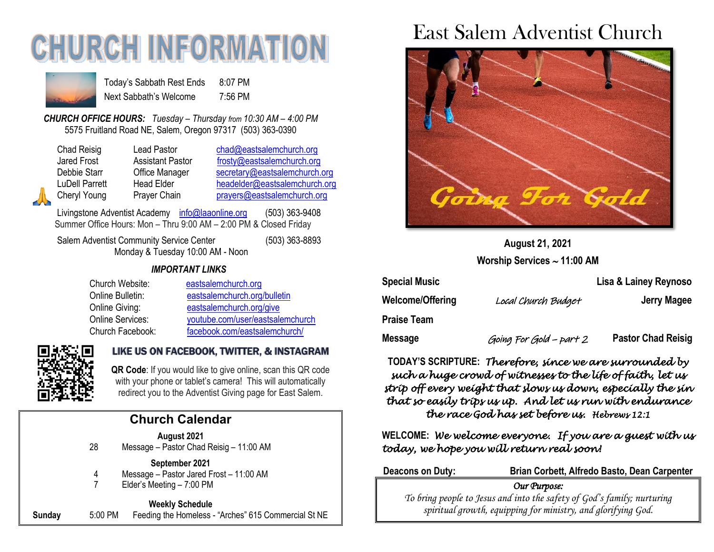# **CHURCH INFORMATI**



Today's Sabbath Rest Ends 8:07 PM Next Sabbath's Welcome 7:56 PM

*CHURCH OFFICE HOURS: Tuesday – Thursday from 10:30 AM – 4:00 PM* 5575 Fruitland Road NE, Salem, Oregon 97317 (503) 363-0390

Chad Reisig Lead Pastor [chad@eastsalemchurch.org](mailto:chad@eastsalemchurch.org) Jared Frost Assistant Pastor [frosty@eastsalemchurch.org](mailto:frosty@eastsalemchurch.org) Debbie Starr Cffice Manager [secretary@eastsalemchurch.org](mailto:secretary@eastsalemchurch.org) LuDell Parrett Head Elder [headelder@eastsalemchurch.org](mailto:headelder@eastsalemchurch.org) Cheryl Young Prayer Chain [prayers@eastsalemchurch.org](mailto:prayers@eastsalemchurch.org)

Livingstone Adventist Academy [info@laaonline.org](mailto:info@laaonline.org) (503) 363-9408 Summer Office Hours: Mon – Thru 9:00 AM – 2:00 PM & Closed Friday

Salem Adventist Community Service Center (503) 363-8893 Monday & Tuesday 10:00 AM - Noon

### *IMPORTANT LINKS*

| Church Website:  | eastsalemchurch.org              |
|------------------|----------------------------------|
| Online Bulletin: | eastsalemchurch.org/bulletin     |
| Online Giving:   | eastsalemchurch.org/give         |
| Online Services: | youtube.com/user/eastsalemchurch |
| Church Facebook: | facebook.com/eastsalemchurch/    |



### LIKE US ON FACEBOOK, TWITTER, & INSTAGRAM

**QR Code**: If you would like to give online, scan this QR code with your phone or tablet's camera! This will automatically redirect you to the Adventist Giving page for East Salem.

### **Church Calendar**

**August 2021**

28 Message – Pastor Chad Reisig – 11:00 AM

#### **September 2021**

- 4 Message Pastor Jared Frost 11:00 AM
- 7 Elder's Meeting 7:00 PM

**Weekly Schedule Sunday** 5:00 PM Feeding the Homeless - "Arches" 615 Commercial St NE

## East Salem Adventist Church



**August 21, 2021 Worship Services 11:00 AM**

| <b>Special Music</b> |                         | Lisa & Lainey Reynoso     |  |
|----------------------|-------------------------|---------------------------|--|
| Welcome/Offering     | Local Church Budget     | Jerry Magee               |  |
| Praise Team          |                         |                           |  |
| Message              | Going For Gold - part 2 | <b>Pastor Chad Reisig</b> |  |

**TODAY'S SCRIPTURE:** *Therefore, since we are surrounded by such a huge crowd of witnesses to the life of faith, let us strip off every weight that slows us down, especially the sin that so easily trips us up. And let us run with endurance the race God has set before us. Hebrews 12:1* 

**WELCOME:** *We welcome everyone. If you are a guest with us today, we hope you will return real soon!* 

**Deacons on Duty: Brian Corbett, Alfredo Basto, Dean Carpenter** *Our Purpose:* 

*To bring people to Jesus and into the safety of God's family; nurturing spiritual growth, equipping for ministry, and glorifying God.*